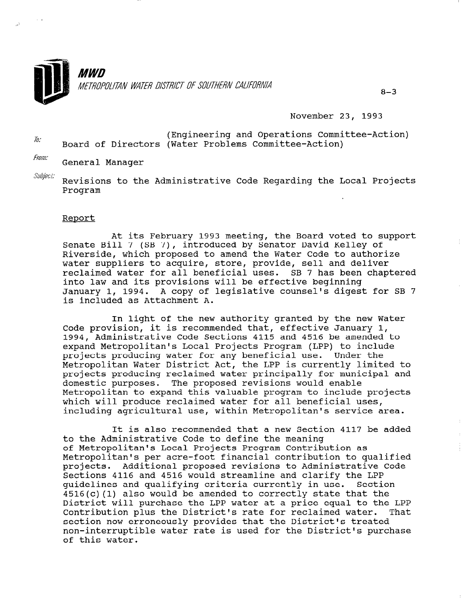

November 23, 1993

Engineering and Operations Committee-Action) Board of Directors (Water Problems Committee-Action)

From: General Manager

 $\mathit{Subject:}$  Revisions to the Administrative Code Regarding the Local Projects Program

#### Reoort

At its February 1993 meeting, the Board voted to support Senate Bill 7 (SB 7), introduced by Senator David Kelley of Riverside, which proposed to amend the Water Code to authorize water suppliers to acquire, store, provide, sell and deliver reclaimed water for all beneficial uses. SB 7 has been chaptered into law and its provisions will be effective beginning January 1, 1994. A copy of legislative counsel's digest for SB 7 is included as Attachment A.

In light of the new authority granted by the new Water Code provision, it is recommended that, effective January 1, 1994, Administrative Code Sections 4115 and 4516 be amended to expand Metropolitan's Local Projects Program (LPP) to include projects producing water for any beneficial use. Under the Metropolitan Water District Act, the LPP is currently limited to projects producing reclaimed water principally for municipal and domestic purposes. The proposed revisions would enable Metropolitan to expand this valuable program to include projects which will produce reclaimed water for all beneficial uses, including agricultural use, within Metropolitan's service area.

It is also recommended that a new Section 4117 be added to the Administrative Code to define the meaning of Metropolitan's Local Projects Program Contribution as Metropolitan's per acre-foot financial contribution to qualified projects. Additional proposed revisions to Administrative Code projects. Additional proposed revisions to Administrative pections 4110 and 4910 would streamine and claimly the LPP.<br>The critical critical conditions and the conservative in use. Section quidelines and qualifying criteria currently in use. Section  $4516(c)$  (1) also would be amended to correctly state that the District will purchase the LPP water at a price equal to the LPP Contribution plus the District's rate for reclaimed water. That Contribution plus the District's rate for reclaimed water. section now erroneously provides that the District's treated non-interruptible water rate is used for the District's purchase<br>of this water.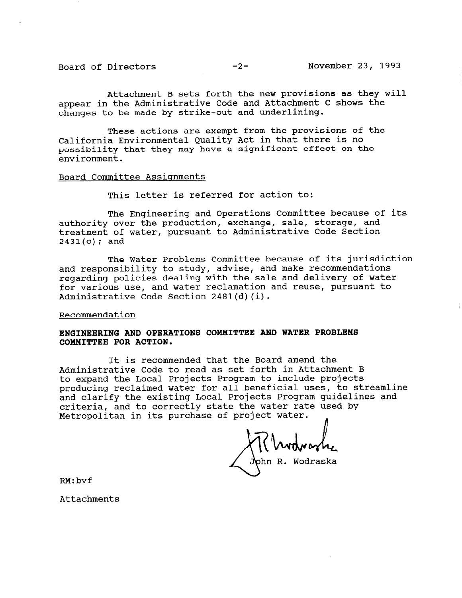Board of Directors -2- November 23, 1993

Attachment B sets forth the new provisions as they will appear in the Administrative Code and Attachment C shows the changes to be made by strike-out and underlining.

These actions are exempt from the provisions of the California Environmental Quality Act in that there is no possibility that they may have a significant effect on the environment.

### Board Committee Assignments

This letter is referred for action to:

The Engineering and Operations Committee because of its authority over the production, exchange, sale, storage, and treatment of water, pursuant to Administrative Code Section  $2431(c)$ ; and

The Water Problems Committee because of its jurisdiction and responsibility to study, advise, and make recommendations regarding policies dealing with the sale and delivery of water for various use, and water reclamation and reuse, pursuant to Administrative Code Section 2481(d)(i).

## Recommendation

# ENGINEERING AND OPERATIONS COMMITTEE AND WATER PROBLEMS COMMITTEE FOR ACTION.

It is recommended that the Board amend the Administrative Code to read as set forth in Attachment B to expand the Local Projects Program to include projects producing reclaimed water for all beneficial uses, to streamline and clarify the existing Local Projects Program guidelines and criteria, and to correctly state the water rate used by Metropolitan in its purchase of project water. n

John R. Wodraska

RM:bvf

Attachments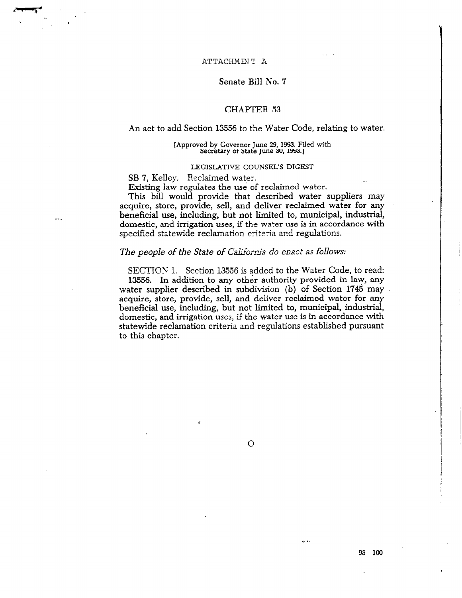### ATTACHMENT A

## Senate Bill No. 7

# CHAPTER 53

### An act to add Section 13556 to the Water Code, relating to water.

#### [Approved by Governor June 29, 1993. Filed with Secretary of State June 30, 1993.]

#### LEGISLATIVE COUNSEL'S DIGEST

SB 7, Kelley. Reclaimed water.

Existing law regulates the use of reclaimed water.

This bill would provide that described water suppliers may acquire, store, provide, sell, and deliver reclaimed water for any beneficial use, including, but not limited to, municipal, industrial, domestic, and irrigation uses, if the water use is in accordance with specified statewide reclamation criteria and regulations.

## The people of the State of California do enact as follows:

SECTION 1. Section 13556 is added to the Water Code, to read: 13556. In addition to any other authority provided in law, any water supplier described in subdivision (b) of Section 1745 may acquire, store, provide, sell, and deliver reclaimed water for any beneficial use, including, but not limited to, municipal, industrial, domestic, and irrigation uses, if the water use is in accordance with statewide reclamation criteria and regulations established pursuant to this chapter.

 $\overline{O}$ 

9s loo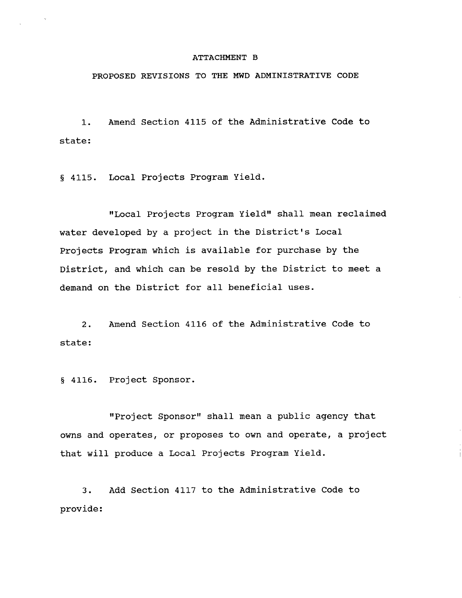#### ATTACHMENT B

# PROPOSED REVISIONS TO THE MWD ADMINISTRATIVE CODE

1. state: Amend Section 4115 of the Administrative Code to

6 4115. Local Projects Program Yield

'ILocal Projects Program Yield" shall mean reclaimed water developed by a project in the District's Local Projects Program which is available for purchase by the District, and which can be resold by the District to meet a demand on the District for all beneficial uses.

2. Amend Section 4116 of the Administrative Code to state:

5 4116. Project Sponsor.

"Project Sponsor" shall mean a public agency that owns and operates, or proposes to own and operate, a project that will produce a Local Projects Program Yield.

3. Add Section 4117 to the Administrative Code to provide: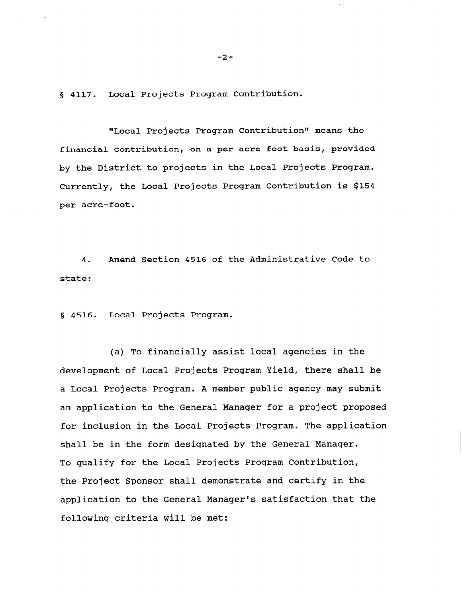g 4117. Local Projects Program Contribution.

"Local Projects Program Contribution" means the financial contribution, on a per acre-foot basis, provided by the District to projects in the Local Projects Program. Currently, the Local Projects Program Contribution is \$154 per acre-foot.

4. Amend Section 4516 of the Administrative Code to state:

5 4516. Local Projects Program.

(a) To financially assist local agencies in the development of Local Projects Program Yield, there shall be a Local Projects Program. A member public agency may submit an application to the General Manager for a project proposed for inclusion in the Local Projects Program. The application shall be in the form designated by the General Manager. To qualify for the Local Projects Program Contribution, the Project Sponsor shall demonstrate and certify in the application to the General Manager's satisfaction that the following criteria will be met:

 $-2-$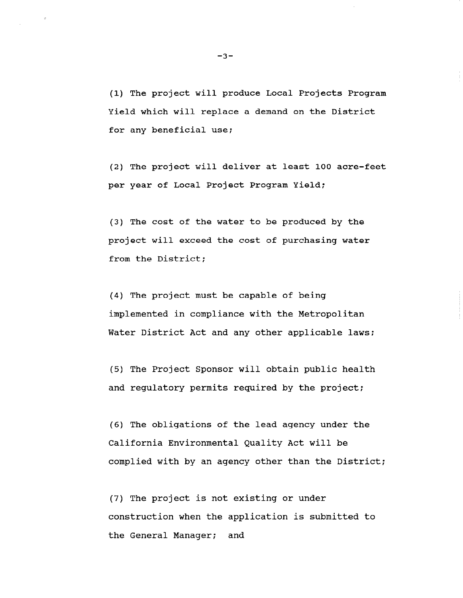(1) The project will produce Local Projects Program Yield which will replace a demand on the District for any beneficial use;

(2) The project will deliver at least 100 acre-feet per year of Local Project Program Yield:

(3) The cost of the water to be produced by the project will exceed the cost of purchasing water from the District;

(4) The project must be capable of being implemented in compliance with the Metropolitan Water District Act and any other applicable laws;

(5) The Project Sponsor will obtain public health and regulatory permits required by the project;

(6) The obligations of the lead agency under the California Environmental Quality Act will be complied with by an agency other than the District;

(7) The project is not existing or under construction when the application is submitted to the General Manager; and

-3-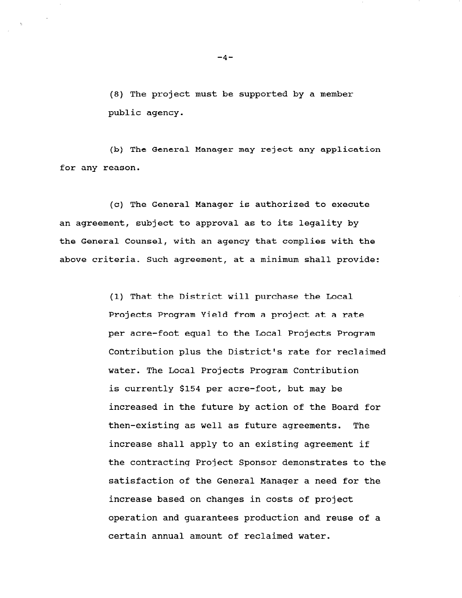(8) The project must be supported by a member public agency.

(b) The General Manager may reject any application for any reason.

(c) The General Manager is authorized to execute an agreement, subject to approval as to its legality by the General Counsel, with an agency that complies with the above criteria. Such agreement, at a minimum shall provide:

> (1) That the District will purchase the Local Projects Program Yield from a project at a rate per acre-foot equal to the Local Projects Program Contribution plus the District's rate for reclaimed water. The Local Projects Program Contribution is currently \$154 per acre-foot, but may be increased in the future by action of the Board for then-existing as well as future agreements. The increase shall apply to an existing agreement if the contracting Project Sponsor demonstrates to the satisfaction of the General Manager a need for the increase based on changes in costs of project operation and guarantees production and reuse of a certain annual amount of reclaimed water.

 $-4-$ 

 $\Lambda$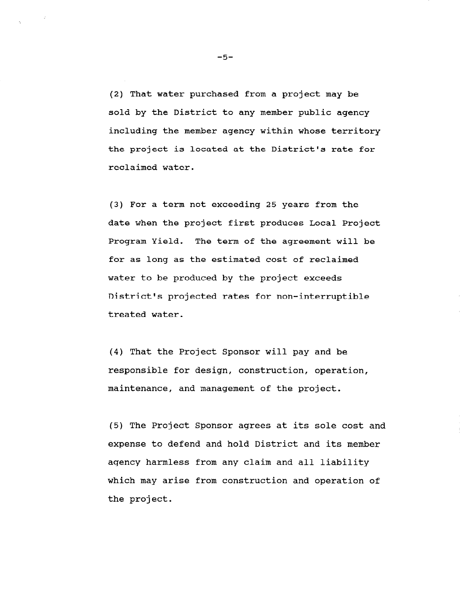(2) That water purchased from a project may be sold by the District to any member public agency including the member agency within whose territory the project is located at the District's rate for reclaimed water.

(3) For a term not exceeding 25 years from the date when the project first produces Local Project Program Yield. The term of the agreement will be for as long as the estimated cost of reclaimed water to be produced by the project exceeds District's projected rates for non-interruptible treated water.

(4) That the Project Sponsor will pay and be responsible for design, construction, operation, maintenance, and management of the project.

(5) The Project Sponsor agrees at its sole cost and expense to defend and hold District and its member agency harmless from any claim and all liability which may arise from construction and operation of the project.

-5-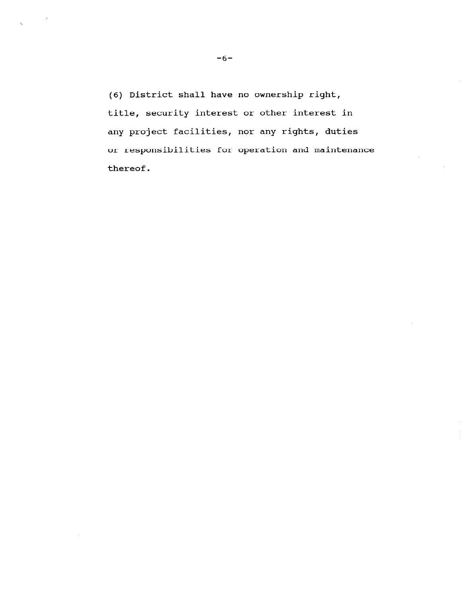(6) District shall have no ownership right, title, security interest or other interest in any project facilities, nor any rights, duties or responsibilities for operation and maintenance thereof.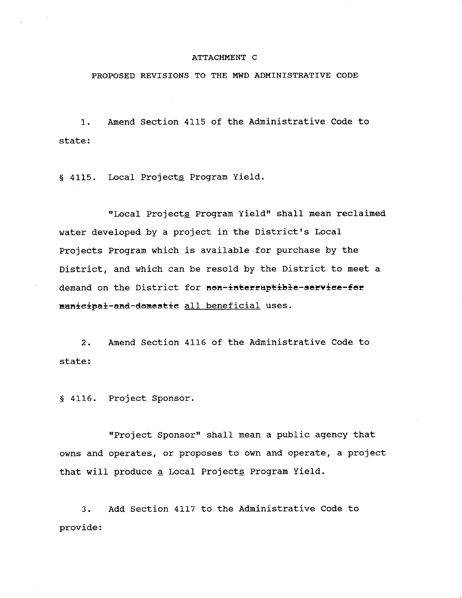#### ATTACHMENT C

PROPOSED REVISIONS TO THE MWD ADMINISTRATIVE CODE

1. Amend Section 4115 of the Administrative Code to state:

§ 4115. Local Projects Program Yield.

"Local Projects Program Yield" shall mean reclaimed water developed by a project in the District's Local Projects Program which is available for purchase by the District, and which can be resold by the District to meet a demand on the District for nen-interruptible-service-fer municipal-and-domestic all beneficial uses.

2. Amend Section 4116 of the Administrative Code to state:

§ 4116. Project Sponsor.

"Project Sponsor" shall mean a public agency that owns and operates, or proposes to own and operate, a project that will produce a Local Projects Program Yield.

3. Add Section 4117 to the Administrative Code to provide: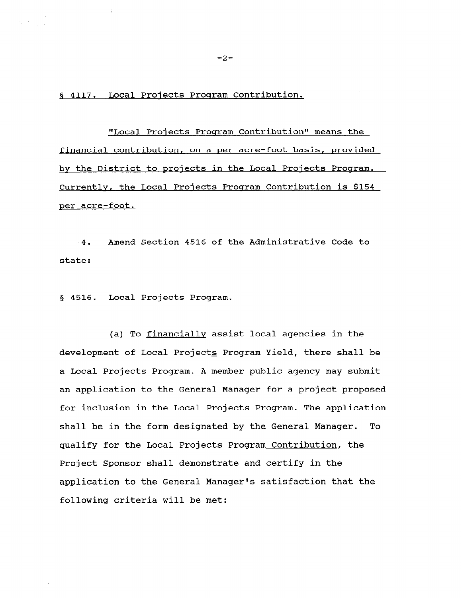§ 4117. Local Projects Program Contribution.

"Local Projects Program Contribution" means the financial contribution, on a ner acre-foot basis, provided by the District to projects in the Local Projects Program. Currently, the Local Projects Program Contribution is \$154 per acre-foot.

4. Amend Section 4516 of the Administrative Code to state:

5 4516. Local Projects Program.

(a) To financially assist local agencies in the development of Local Projects Program Yield, there shall be a Local Projects Program. A member public agency may submit an application to the General Manager for a project proposed for inclusion in the Local Projects Program. The application shall be in the form designated by the General Manager. To qualify for the Local Projects Program Contribution, the Project Sponsor shall demonstrate and certify in the application to the General Manager's satisfaction that the following criteria will be met:

 $-2-$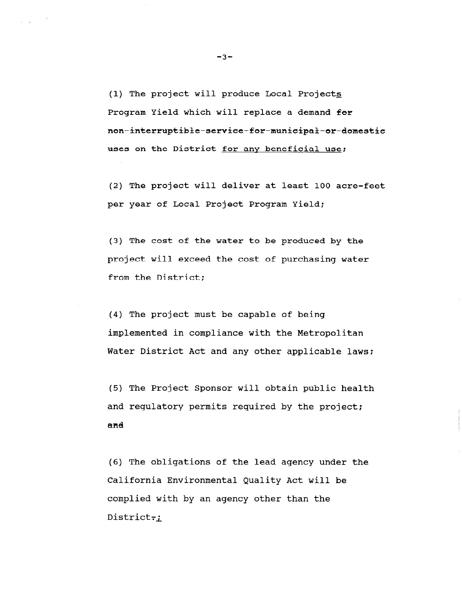(1) The project will produce Local Projects Program Yield which will replace a demand for non-interruptible-service-for-municipal-or-domestic uses on the District for any beneficial use;

(2) The project will deliver at least 100 acre-feet per year of Local Project Program Yield:

(3) The cost of the water to be produced by the project will exceed the cost of purchasing water from the District;

(4) The project must be capable of being implemented in compliance with the Metropolitan Water District Act and any other applicable laws;

(5) The Project Sponsor will obtain public health and regulatory permits required by the project; and

(6) The obligations of the lead agency under the California Environmental Quality Act will be complied with by an agency other than the District-;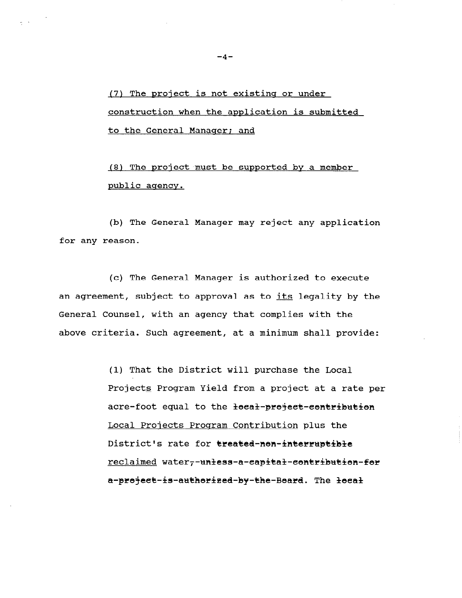(7) The project is not existing or under construction when the application is submitted to the General Manager; and

 $(8)$  The project must be supported by a member public agency.

(b) The General Manager may reject any application for any reason.

(c) The General Manager is authorized to execute an agreement, subject to approval as to its legality by the General Counsel, with an agency that complies with the above criteria. Such agreement, at a minimum shall provide:

> (1) That the District will purchase the Local Projects Program Yield from a project at a rate per acre-foot equal to the local-project-contribution Local Projects Program Contribution plus the District's rate for treated-nen-interruptible reclaimed water--unless-a-eapital-contribution-fer a-preject-is-autherized-by-the-Beard. The lecal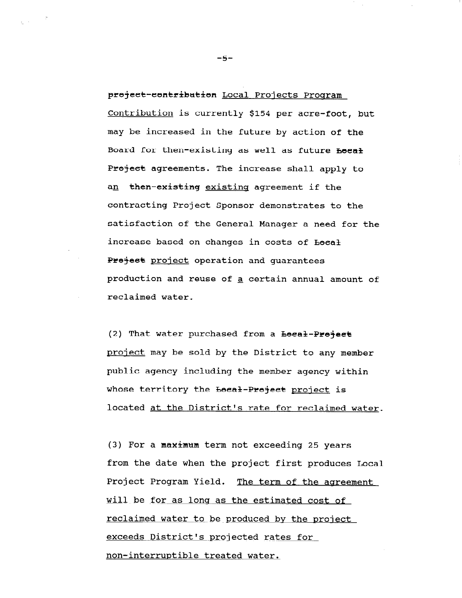project-contribution Local Projects Program Contribution is currently \$154 per acre-foot, but may be increased in the future by action of the Board for then-existing as well as future heeal Project agreements. The increase shall apply to an then-existing existinq agreement if the contracting Project Sponsor demonstrates to the satisfaction of the General Manager a need for the increase based on changes in costs of Local Preject project operation and quarantees production and reuse of a certain annual amount of reclaimed water.

(2) That water purchased from a  $\texttt{beed-Pre\texttt{}}$ project may be sold by the District to any member public agency including the member agency within whose territory the beeal-Preject project is located at the District's rate for reclaimed water.

 $(3)$  For a maximum term not exceeding 25 years from the date when the project first produces Local Project Program Yield. The term of the agreement will be for as long as the estimated cost of reclaimed water to be produced by the project exceeds District's projected rates for non-interruptible treated water.

-5-